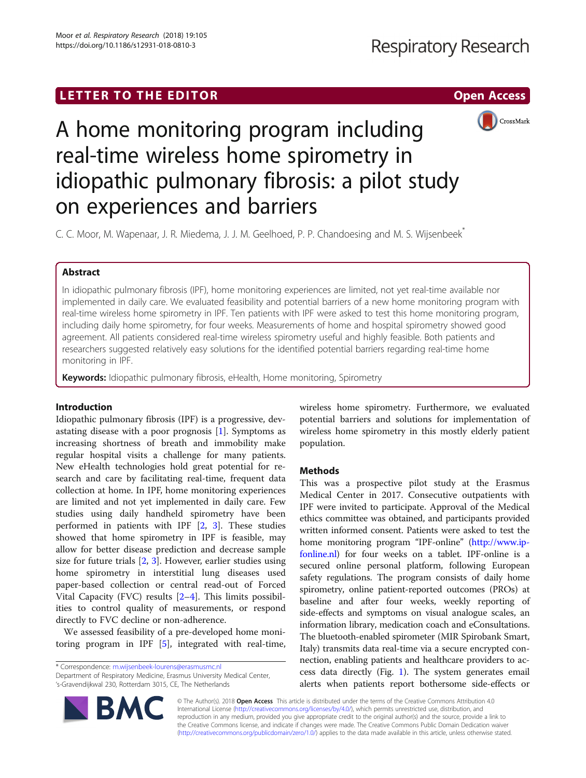## LETTER TO THE EDITOR **CONSIDERATION**



# A home monitoring program including real-time wireless home spirometry in idiopathic pulmonary fibrosis: a pilot study on experiences and barriers

C. C. Moor, M. Wapenaar, J. R. Miedema, J. J. M. Geelhoed, P. P. Chandoesing and M. S. Wijsenbeek\*

## Abstract

In idiopathic pulmonary fibrosis (IPF), home monitoring experiences are limited, not yet real-time available nor implemented in daily care. We evaluated feasibility and potential barriers of a new home monitoring program with real-time wireless home spirometry in IPF. Ten patients with IPF were asked to test this home monitoring program, including daily home spirometry, for four weeks. Measurements of home and hospital spirometry showed good agreement. All patients considered real-time wireless spirometry useful and highly feasible. Both patients and researchers suggested relatively easy solutions for the identified potential barriers regarding real-time home monitoring in IPF.

Keywords: Idiopathic pulmonary fibrosis, eHealth, Home monitoring, Spirometry

## Introduction

Idiopathic pulmonary fibrosis (IPF) is a progressive, devastating disease with a poor prognosis [[1\]](#page-4-0). Symptoms as increasing shortness of breath and immobility make regular hospital visits a challenge for many patients. New eHealth technologies hold great potential for research and care by facilitating real-time, frequent data collection at home. In IPF, home monitoring experiences are limited and not yet implemented in daily care. Few studies using daily handheld spirometry have been performed in patients with IPF  $[2, 3]$  $[2, 3]$  $[2, 3]$  $[2, 3]$ . These studies showed that home spirometry in IPF is feasible, may allow for better disease prediction and decrease sample size for future trials  $[2, 3]$  $[2, 3]$  $[2, 3]$  $[2, 3]$  $[2, 3]$ . However, earlier studies using home spirometry in interstitial lung diseases used paper-based collection or central read-out of Forced Vital Capacity (FVC) results [\[2](#page-4-0)–[4](#page-4-0)]. This limits possibilities to control quality of measurements, or respond directly to FVC decline or non-adherence.

We assessed feasibility of a pre-developed home monitoring program in IPF [[5\]](#page-4-0), integrated with real-time,

\* Correspondence: [m.wijsenbeek-lourens@erasmusmc.nl](mailto:m.wijsenbeek-lourens@erasmusmc.nl)

wireless home spirometry. Furthermore, we evaluated potential barriers and solutions for implementation of wireless home spirometry in this mostly elderly patient population.

## **Methods**

This was a prospective pilot study at the Erasmus Medical Center in 2017. Consecutive outpatients with IPF were invited to participate. Approval of the Medical ethics committee was obtained, and participants provided written informed consent. Patients were asked to test the home monitoring program "IPF-online" ([http://www.ip](http://www.ipfonline.nl)[fonline.nl](http://www.ipfonline.nl)) for four weeks on a tablet. IPF-online is a secured online personal platform, following European safety regulations. The program consists of daily home spirometry, online patient-reported outcomes (PROs) at baseline and after four weeks, weekly reporting of side-effects and symptoms on visual analogue scales, an information library, medication coach and eConsultations. The bluetooth-enabled spirometer (MIR Spirobank Smart, Italy) transmits data real-time via a secure encrypted connection, enabling patients and healthcare providers to access data directly (Fig. [1](#page-1-0)). The system generates email alerts when patients report bothersome side-effects or

© The Author(s). 2018 Open Access This article is distributed under the terms of the Creative Commons Attribution 4.0 International License [\(http://creativecommons.org/licenses/by/4.0/](http://creativecommons.org/licenses/by/4.0/)), which permits unrestricted use, distribution, and reproduction in any medium, provided you give appropriate credit to the original author(s) and the source, provide a link to the Creative Commons license, and indicate if changes were made. The Creative Commons Public Domain Dedication waiver [\(http://creativecommons.org/publicdomain/zero/1.0/](http://creativecommons.org/publicdomain/zero/1.0/)) applies to the data made available in this article, unless otherwise stated.



Department of Respiratory Medicine, Erasmus University Medical Center, 's-Gravendijkwal 230, Rotterdam 3015, CE, The Netherlands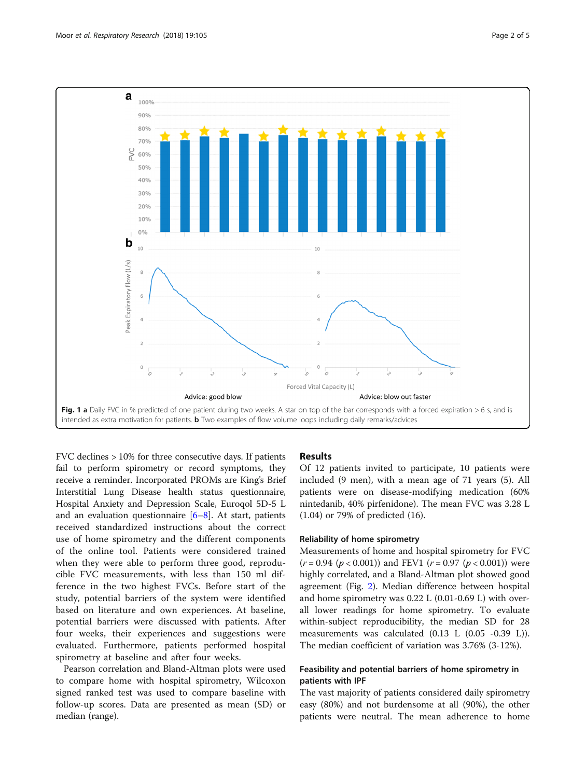<span id="page-1-0"></span>

FVC declines > 10% for three consecutive days. If patients fail to perform spirometry or record symptoms, they receive a reminder. Incorporated PROMs are King's Brief Interstitial Lung Disease health status questionnaire, Hospital Anxiety and Depression Scale, Euroqol 5D-5 L and an evaluation questionnaire  $[6-8]$  $[6-8]$  $[6-8]$  $[6-8]$ . At start, patients received standardized instructions about the correct use of home spirometry and the different components of the online tool. Patients were considered trained when they were able to perform three good, reproducible FVC measurements, with less than 150 ml difference in the two highest FVCs. Before start of the study, potential barriers of the system were identified based on literature and own experiences. At baseline, potential barriers were discussed with patients. After four weeks, their experiences and suggestions were evaluated. Furthermore, patients performed hospital spirometry at baseline and after four weeks.

Pearson correlation and Bland-Altman plots were used to compare home with hospital spirometry, Wilcoxon signed ranked test was used to compare baseline with follow-up scores. Data are presented as mean (SD) or median (range).

#### Results

Of 12 patients invited to participate, 10 patients were included (9 men), with a mean age of 71 years (5). All patients were on disease-modifying medication (60% nintedanib, 40% pirfenidone). The mean FVC was 3.28 L (1.04) or 79% of predicted (16).

### Reliability of home spirometry

Measurements of home and hospital spirometry for FVC  $(r = 0.94 \ (p < 0.001))$  and FEV1  $(r = 0.97 \ (p < 0.001))$  were highly correlated, and a Bland-Altman plot showed good agreement (Fig. [2\)](#page-2-0). Median difference between hospital and home spirometry was 0.22 L (0.01-0.69 L) with overall lower readings for home spirometry. To evaluate within-subject reproducibility, the median SD for 28 measurements was calculated (0.13 L (0.05 -0.39 L)). The median coefficient of variation was 3.76% (3-12%).

## Feasibility and potential barriers of home spirometry in patients with IPF

The vast majority of patients considered daily spirometry easy (80%) and not burdensome at all (90%), the other patients were neutral. The mean adherence to home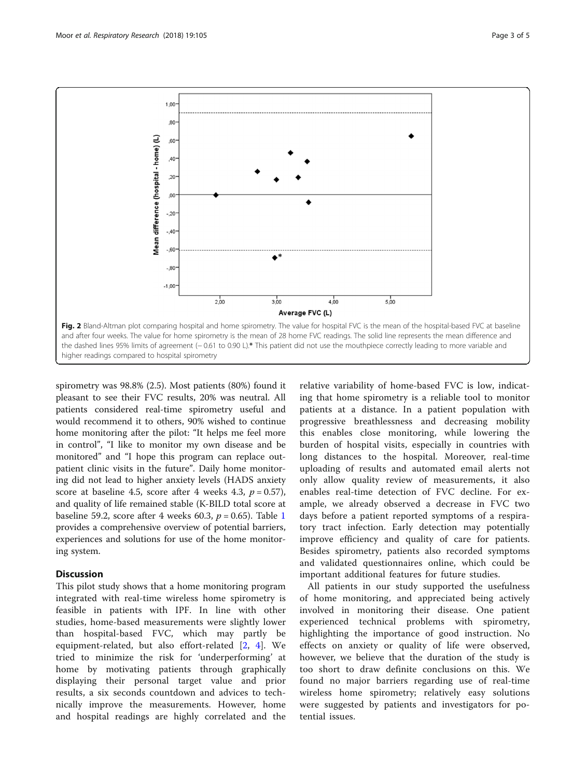<span id="page-2-0"></span>

spirometry was 98.8% (2.5). Most patients (80%) found it pleasant to see their FVC results, 20% was neutral. All patients considered real-time spirometry useful and would recommend it to others, 90% wished to continue home monitoring after the pilot: "It helps me feel more in control", "I like to monitor my own disease and be monitored" and "I hope this program can replace outpatient clinic visits in the future". Daily home monitoring did not lead to higher anxiety levels (HADS anxiety score at baseline 4.5, score after 4 weeks 4.3,  $p = 0.57$ ), and quality of life remained stable (K-BILD total score at baseline 59.2, score after 4 weeks 60.3,  $p = 0.65$ ). Table [1](#page-3-0) provides a comprehensive overview of potential barriers, experiences and solutions for use of the home monitoring system.

#### Discussion

This pilot study shows that a home monitoring program integrated with real-time wireless home spirometry is feasible in patients with IPF. In line with other studies, home-based measurements were slightly lower than hospital-based FVC, which may partly be equipment-related, but also effort-related [[2,](#page-4-0) [4\]](#page-4-0). We tried to minimize the risk for 'underperforming' at home by motivating patients through graphically displaying their personal target value and prior results, a six seconds countdown and advices to technically improve the measurements. However, home and hospital readings are highly correlated and the

relative variability of home-based FVC is low, indicating that home spirometry is a reliable tool to monitor patients at a distance. In a patient population with progressive breathlessness and decreasing mobility this enables close monitoring, while lowering the burden of hospital visits, especially in countries with long distances to the hospital. Moreover, real-time uploading of results and automated email alerts not only allow quality review of measurements, it also enables real-time detection of FVC decline. For example, we already observed a decrease in FVC two days before a patient reported symptoms of a respiratory tract infection. Early detection may potentially improve efficiency and quality of care for patients. Besides spirometry, patients also recorded symptoms and validated questionnaires online, which could be important additional features for future studies.

All patients in our study supported the usefulness of home monitoring, and appreciated being actively involved in monitoring their disease. One patient experienced technical problems with spirometry, highlighting the importance of good instruction. No effects on anxiety or quality of life were observed, however, we believe that the duration of the study is too short to draw definite conclusions on this. We found no major barriers regarding use of real-time wireless home spirometry; relatively easy solutions were suggested by patients and investigators for potential issues.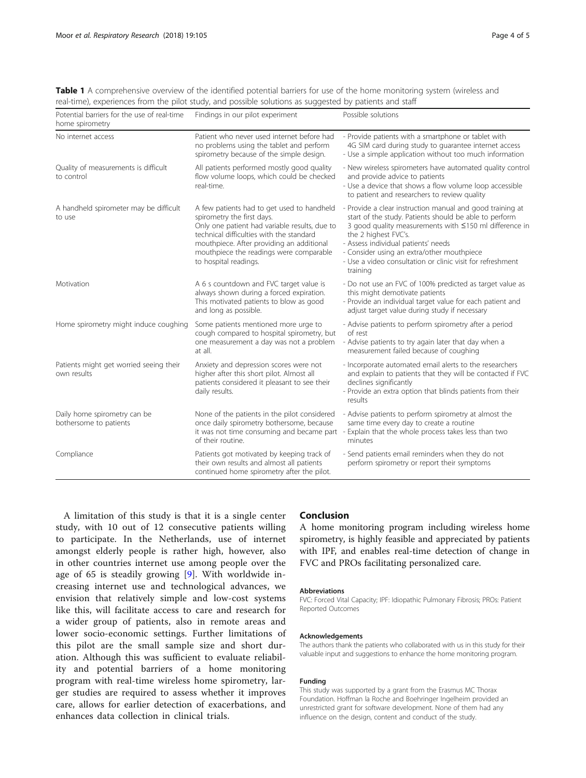<span id="page-3-0"></span>Table 1 A comprehensive overview of the identified potential barriers for use of the home monitoring system (wireless and real-time), experiences from the pilot study, and possible solutions as suggested by patients and staff

| Potential barriers for the use of real-time<br>home spirometry | Findings in our pilot experiment                                                                                                                                                                                                                                                       | Possible solutions                                                                                                                                                                                                                                                                                                                                                   |
|----------------------------------------------------------------|----------------------------------------------------------------------------------------------------------------------------------------------------------------------------------------------------------------------------------------------------------------------------------------|----------------------------------------------------------------------------------------------------------------------------------------------------------------------------------------------------------------------------------------------------------------------------------------------------------------------------------------------------------------------|
| No internet access                                             | Patient who never used internet before had<br>no problems using the tablet and perform<br>spirometry because of the simple design.                                                                                                                                                     | - Provide patients with a smartphone or tablet with<br>4G SIM card during study to guarantee internet access<br>- Use a simple application without too much information                                                                                                                                                                                              |
| Quality of measurements is difficult<br>to control             | All patients performed mostly good quality<br>flow volume loops, which could be checked<br>real-time.                                                                                                                                                                                  | - New wireless spirometers have automated quality control<br>and provide advice to patients<br>- Use a device that shows a flow volume loop accessible<br>to patient and researchers to review quality                                                                                                                                                               |
| A handheld spirometer may be difficult<br>to use               | A few patients had to get used to handheld<br>spirometry the first days.<br>Only one patient had variable results, due to<br>technical difficulties with the standard<br>mouthpiece. After providing an additional<br>mouthpiece the readings were comparable<br>to hospital readings. | - Provide a clear instruction manual and good training at<br>start of the study. Patients should be able to perform<br>3 good quality measurements with ≤150 ml difference in<br>the 2 highest FVC's.<br>- Assess individual patients' needs<br>- Consider using an extra/other mouthpiece<br>- Use a video consultation or clinic visit for refreshment<br>training |
| Motivation                                                     | A 6 s countdown and FVC target value is<br>always shown during a forced expiration.<br>This motivated patients to blow as good<br>and long as possible.                                                                                                                                | - Do not use an FVC of 100% predicted as target value as<br>this might demotivate patients<br>- Provide an individual target value for each patient and<br>adjust target value during study if necessary                                                                                                                                                             |
| Home spirometry might induce coughing                          | Some patients mentioned more urge to<br>cough compared to hospital spirometry, but<br>one measurement a day was not a problem<br>at all.                                                                                                                                               | - Advise patients to perform spirometry after a period<br>of rest<br>- Advise patients to try again later that day when a<br>measurement failed because of coughing                                                                                                                                                                                                  |
| Patients might get worried seeing their<br>own results         | Anxiety and depression scores were not<br>higher after this short pilot. Almost all<br>patients considered it pleasant to see their<br>daily results.                                                                                                                                  | - Incorporate automated email alerts to the researchers<br>and explain to patients that they will be contacted if FVC<br>declines significantly<br>- Provide an extra option that blinds patients from their<br>results                                                                                                                                              |
| Daily home spirometry can be<br>bothersome to patients         | None of the patients in the pilot considered<br>once daily spirometry bothersome, because<br>it was not time consuming and became part<br>of their routine.                                                                                                                            | - Advise patients to perform spirometry at almost the<br>same time every day to create a routine<br>Explain that the whole process takes less than two<br>minutes                                                                                                                                                                                                    |
| Compliance                                                     | Patients got motivated by keeping track of<br>their own results and almost all patients<br>continued home spirometry after the pilot.                                                                                                                                                  | - Send patients email reminders when they do not<br>perform spirometry or report their symptoms                                                                                                                                                                                                                                                                      |

A limitation of this study is that it is a single center study, with 10 out of 12 consecutive patients willing to participate. In the Netherlands, use of internet amongst elderly people is rather high, however, also in other countries internet use among people over the age of 65 is steadily growing [\[9](#page-4-0)]. With worldwide increasing internet use and technological advances, we envision that relatively simple and low-cost systems like this, will facilitate access to care and research for a wider group of patients, also in remote areas and lower socio-economic settings. Further limitations of this pilot are the small sample size and short duration. Although this was sufficient to evaluate reliability and potential barriers of a home monitoring program with real-time wireless home spirometry, larger studies are required to assess whether it improves care, allows for earlier detection of exacerbations, and enhances data collection in clinical trials.

#### Conclusion

A home monitoring program including wireless home spirometry, is highly feasible and appreciated by patients with IPF, and enables real-time detection of change in FVC and PROs facilitating personalized care.

#### Abbreviations

FVC: Forced Vital Capacity; IPF: Idiopathic Pulmonary Fibrosis; PROs: Patient Reported Outcomes

#### Acknowledgements

The authors thank the patients who collaborated with us in this study for their valuable input and suggestions to enhance the home monitoring program.

#### Funding

This study was supported by a grant from the Erasmus MC Thorax Foundation. Hoffman la Roche and Boehringer Ingelheim provided an unrestricted grant for software development. None of them had any influence on the design, content and conduct of the study.